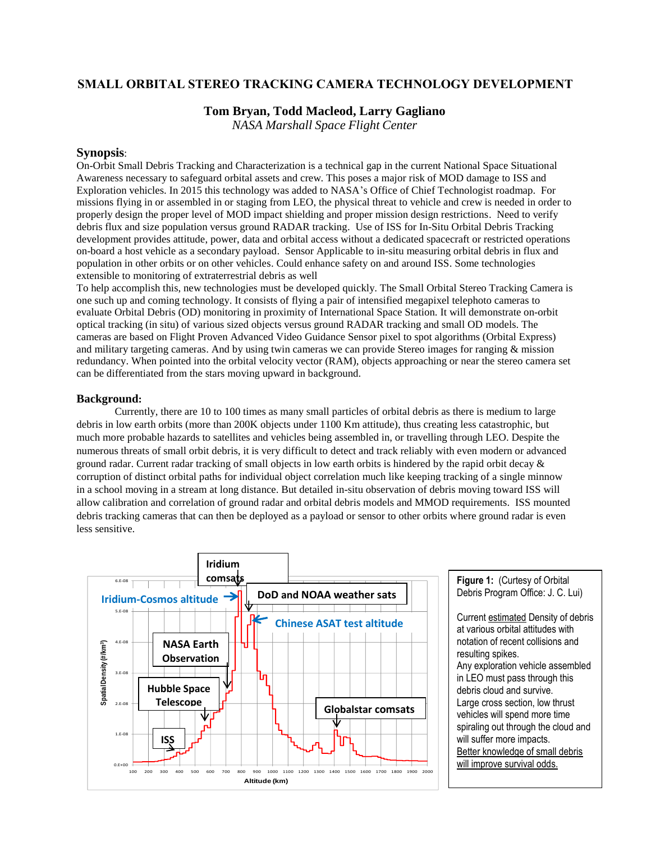# **SMALL ORBITAL STEREO TRACKING CAMERA TECHNOLOGY DEVELOPMENT**

## **Tom Bryan, Todd Macleod, Larry Gagliano**

*NASA Marshall Space Flight Center*

### **Synopsis**:

On-Orbit Small Debris Tracking and Characterization is a technical gap in the current National Space Situational Awareness necessary to safeguard orbital assets and crew. This poses a major risk of MOD damage to ISS and Exploration vehicles. In 2015 this technology was added to NASA's Office of Chief Technologist roadmap. For missions flying in or assembled in or staging from LEO, the physical threat to vehicle and crew is needed in order to properly design the proper level of MOD impact shielding and proper mission design restrictions. Need to verify debris flux and size population versus ground RADAR tracking. Use of ISS for In-Situ Orbital Debris Tracking development provides attitude, power, data and orbital access without a dedicated spacecraft or restricted operations on-board a host vehicle as a secondary payload. Sensor Applicable to in-situ measuring orbital debris in flux and population in other orbits or on other vehicles. Could enhance safety on and around ISS. Some technologies extensible to monitoring of extraterrestrial debris as well

To help accomplish this, new technologies must be developed quickly. The Small Orbital Stereo Tracking Camera is one such up and coming technology. It consists of flying a pair of intensified megapixel telephoto cameras to evaluate Orbital Debris (OD) monitoring in proximity of International Space Station. It will demonstrate on-orbit optical tracking (in situ) of various sized objects versus ground RADAR tracking and small OD models. The cameras are based on Flight Proven Advanced Video Guidance Sensor pixel to spot algorithms (Orbital Express) and military targeting cameras. And by using twin cameras we can provide Stereo images for ranging & mission redundancy. When pointed into the orbital velocity vector (RAM), objects approaching or near the stereo camera set can be differentiated from the stars moving upward in background.

#### **Background:**

Currently, there are 10 to 100 times as many small particles of orbital debris as there is medium to large debris in low earth orbits (more than 200K objects under 1100 Km attitude), thus creating less catastrophic, but much more probable hazards to satellites and vehicles being assembled in, or travelling through LEO. Despite the numerous threats of small orbit debris, it is very difficult to detect and track reliably with even modern or advanced ground radar. Current radar tracking of small objects in low earth orbits is hindered by the rapid orbit decay  $\&$ corruption of distinct orbital paths for individual object correlation much like keeping tracking of a single minnow in a school moving in a stream at long distance. But detailed in-situ observation of debris moving toward ISS will allow calibration and correlation of ground radar and orbital debris models and MMOD requirements. ISS mounted debris tracking cameras that can then be deployed as a payload or sensor to other orbits where ground radar is even less sensitive.



**Figure 1:** (Curtesy of Orbital Debris Program Office: J. C. Lui)

Current estimated Density of debris at various orbital attitudes with notation of recent collisions and resulting spikes. Any exploration vehicle assembled in LEO must pass through this debris cloud and survive. Large cross section, low thrust vehicles will spend more time spiraling out through the cloud and will suffer more impacts. Better knowledge of small debris will improve survival odds.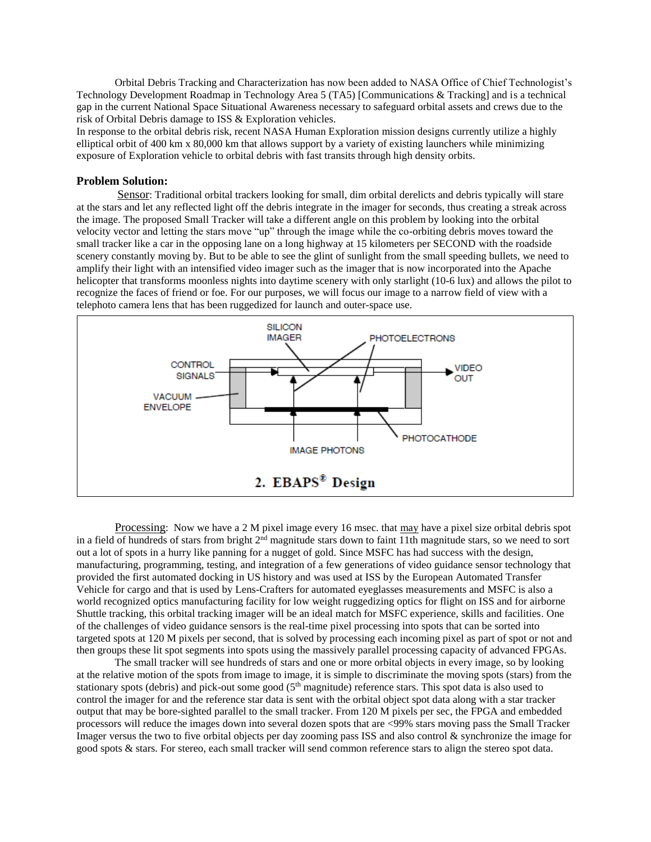Orbital Debris Tracking and Characterization has now been added to NASA Office of Chief Technologist's Technology Development Roadmap in Technology Area 5 (TA5) [Communications & Tracking] and is a technical gap in the current National Space Situational Awareness necessary to safeguard orbital assets and crews due to the risk of Orbital Debris damage to ISS & Exploration vehicles.

In response to the orbital debris risk, recent NASA Human Exploration mission designs currently utilize a highly elliptical orbit of 400 km x 80,000 km that allows support by a variety of existing launchers while minimizing exposure of Exploration vehicle to orbital debris with fast transits through high density orbits.

#### **Problem Solution:**

Sensor: Traditional orbital trackers looking for small, dim orbital derelicts and debris typically will stare at the stars and let any reflected light off the debris integrate in the imager for seconds, thus creating a streak across the image. The proposed Small Tracker will take a different angle on this problem by looking into the orbital velocity vector and letting the stars move "up" through the image while the co-orbiting debris moves toward the small tracker like a car in the opposing lane on a long highway at 15 kilometers per SECOND with the roadside scenery constantly moving by. But to be able to see the glint of sunlight from the small speeding bullets, we need to amplify their light with an intensified video imager such as the imager that is now incorporated into the Apache helicopter that transforms moonless nights into daytime scenery with only starlight (10-6 lux) and allows the pilot to recognize the faces of friend or foe. For our purposes, we will focus our image to a narrow field of view with a telephoto camera lens that has been ruggedized for launch and outer-space use.



Processing: Now we have a 2 M pixel image every 16 msec. that may have a pixel size orbital debris spot in a field of hundreds of stars from bright  $2<sup>nd</sup>$  magnitude stars down to faint 11th magnitude stars, so we need to sort out a lot of spots in a hurry like panning for a nugget of gold. Since MSFC has had success with the design, manufacturing, programming, testing, and integration of a few generations of video guidance sensor technology that provided the first automated docking in US history and was used at ISS by the European Automated Transfer Vehicle for cargo and that is used by Lens-Crafters for automated eyeglasses measurements and MSFC is also a world recognized optics manufacturing facility for low weight ruggedizing optics for flight on ISS and for airborne Shuttle tracking, this orbital tracking imager will be an ideal match for MSFC experience, skills and facilities. One of the challenges of video guidance sensors is the real-time pixel processing into spots that can be sorted into targeted spots at 120 M pixels per second, that is solved by processing each incoming pixel as part of spot or not and then groups these lit spot segments into spots using the massively parallel processing capacity of advanced FPGAs.

The small tracker will see hundreds of stars and one or more orbital objects in every image, so by looking at the relative motion of the spots from image to image, it is simple to discriminate the moving spots (stars) from the stationary spots (debris) and pick-out some good  $(5<sup>th</sup>$  magnitude) reference stars. This spot data is also used to control the imager for and the reference star data is sent with the orbital object spot data along with a star tracker output that may be bore-sighted parallel to the small tracker. From 120 M pixels per sec, the FPGA and embedded processors will reduce the images down into several dozen spots that are <99% stars moving pass the Small Tracker Imager versus the two to five orbital objects per day zooming pass ISS and also control & synchronize the image for good spots & stars. For stereo, each small tracker will send common reference stars to align the stereo spot data.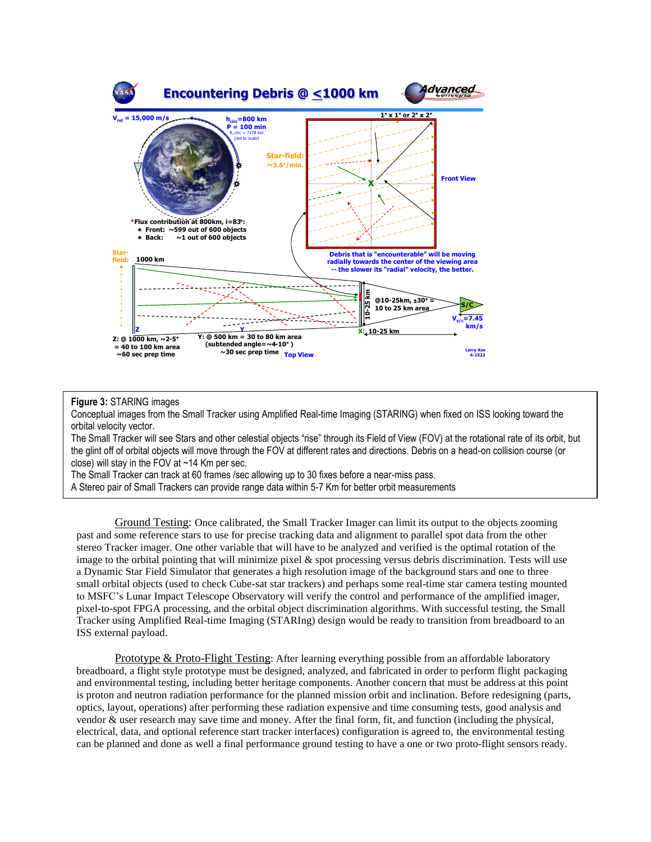

#### **Figure 3:** STARING images

Conceptual images from the Small Tracker using Amplified Real-time Imaging (STARING) when fixed on ISS looking toward the orbital velocity vector.

The Small Tracker will see Stars and other celestial objects "rise" through its Field of View (FOV) at the rotational rate of its orbit, but the glint off of orbital objects will move through the FOV at different rates and directions. Debris on a head-on collision course (or close) will stay in the FOV at ~14 Km per sec.

The Small Tracker can track at 60 frames /sec allowing up to 30 fixes before a near-miss pass.

A Stereo pair of Small Trackers can provide range data within 5-7 Km for better orbit measurements

Ground Testing: Once calibrated, the Small Tracker Imager can limit its output to the objects zooming past and some reference stars to use for precise tracking data and alignment to parallel spot data from the other stereo Tracker imager. One other variable that will have to be analyzed and verified is the optimal rotation of the image to the orbital pointing that will minimize pixel & spot processing versus debris discrimination. Tests will use a Dynamic Star Field Simulator that generates a high resolution image of the background stars and one to three small orbital objects (used to check Cube-sat star trackers) and perhaps some real-time star camera testing mounted to MSFC's Lunar Impact Telescope Observatory will verify the control and performance of the amplified imager, pixel-to-spot FPGA processing, and the orbital object discrimination algorithms. With successful testing, the Small Tracker using Amplified Real-time Imaging (STARIng) design would be ready to transition from breadboard to an ISS external payload.

Prototype & Proto-Flight Testing: After learning everything possible from an affordable laboratory breadboard, a flight style prototype must be designed, analyzed, and fabricated in order to perform flight packaging and environmental testing, including better heritage components. Another concern that must be address at this point is proton and neutron radiation performance for the planned mission orbit and inclination. Before redesigning (parts, optics, layout, operations) after performing these radiation expensive and time consuming tests, good analysis and vendor & user research may save time and money. After the final form, fit, and function (including the physical, electrical, data, and optional reference start tracker interfaces) configuration is agreed to, the environmental testing can be planned and done as well a final performance ground testing to have a one or two proto-flight sensors ready.